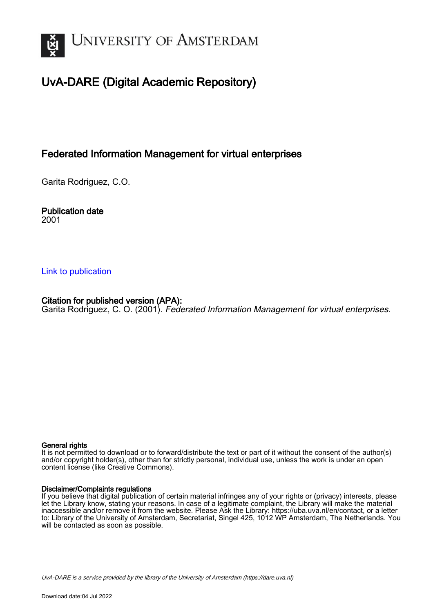

# UvA-DARE (Digital Academic Repository)

## Federated Information Management for virtual enterprises

Garita Rodriguez, C.O.

Publication date 2001

### [Link to publication](https://dare.uva.nl/personal/pure/en/publications/federated-information-management-for-virtual-enterprises(79ec7cbb-40c8-4d6b-afe3-8a7dc573f972).html)

## Citation for published version (APA):

Garita Rodriguez, C. O. (2001). Federated Information Management for virtual enterprises.

#### General rights

It is not permitted to download or to forward/distribute the text or part of it without the consent of the author(s) and/or copyright holder(s), other than for strictly personal, individual use, unless the work is under an open content license (like Creative Commons).

#### Disclaimer/Complaints regulations

If you believe that digital publication of certain material infringes any of your rights or (privacy) interests, please let the Library know, stating your reasons. In case of a legitimate complaint, the Library will make the material inaccessible and/or remove it from the website. Please Ask the Library: https://uba.uva.nl/en/contact, or a letter to: Library of the University of Amsterdam, Secretariat, Singel 425, 1012 WP Amsterdam, The Netherlands. You will be contacted as soon as possible.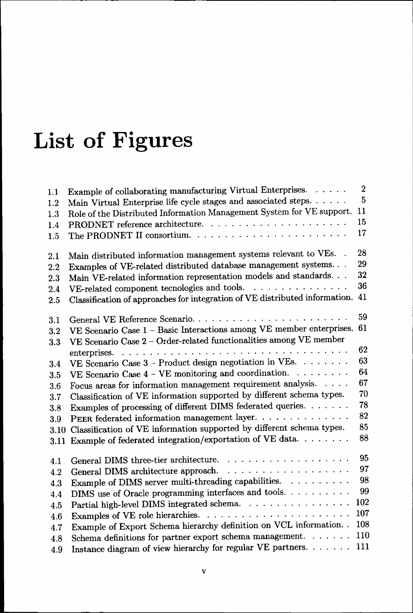# List of Figures

| 1.1  | Example of collaborating manufacturing Virtual Enterprises. $\dots$         | 2   |
|------|-----------------------------------------------------------------------------|-----|
| 1.2  | Main Virtual Enterprise life cycle stages and associated steps.             | 5   |
| 1.3  | Role of the Distributed Information Management System for VE support.       | 11  |
| 1.4  |                                                                             | 15  |
| 1.5  |                                                                             | 17  |
| 2.1  | Main distributed information management systems relevant to VEs. .          | 28  |
| 2.2  | Examples of VE-related distributed database management systems.             | 29  |
| 2.3  | Main VE-related information representation models and standards.            | 32  |
| 2.4  | VE-related component tecnologies and tools.                                 | 36  |
| 2.5  | Classification of approaches for integration of VE distributed information. | 41  |
| 3.1  | General VE Reference Scenario                                               | 59  |
| 3.2  | VE Scenario Case 1 - Basic Interactions among VE member enterprises.        | 61  |
| 3.3  | VE Scenario Case 2 - Order-related functionalities among VE member          |     |
|      |                                                                             | 62  |
| 3.4  | VE Scenario Case 3 - Product design negotiation in VEs.                     | 63  |
| 3.5  | VE Scenario Case $4$ - VE monitoring and coordination.                      | 64  |
| 3.6  | Focus areas for information management requirement analysis.                | 67  |
| 3.7  | Classification of VE information supported by different schema types.       | 70  |
| 3.8  | Examples of processing of different DIMS federated queries.                 | 78  |
| 3.9  | PEER federated information management layer.                                | 82  |
|      | 3.10 Classification of VE information supported by different schema types.  | 85  |
| 3.11 | Example of federated integration/exportation of VE data.                    | 88  |
| 4.1  |                                                                             | 95  |
| 4.2  |                                                                             | 97  |
| 4.3  | Example of DIMS server multi-threading capabilities.                        | 98  |
| 4.4  | DIMS use of Oracle programming interfaces and tools.                        | 99  |
| 4.5  | Partial high-level DIMS integrated schema.                                  | 102 |
| 4.6  |                                                                             | 107 |
| 4.7  | Example of Export Schema hierarchy definition on VCL information. .         | 108 |
| 4.8  | Schema definitions for partner export schema management. $\ldots \ldots$    | 110 |
| 4.9  | Instance diagram of view hierarchy for regular VE partners.                 | 111 |